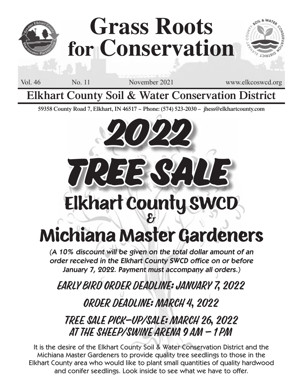

# **Grass Roots for Conservation**

Vol. 46 No. 11 November 2021 www.elkcoswcd.org

**Elkhart County Soil & Water Conservation District**

**59358 County Road 7, Elkhart, IN 46517 ~ Phone: (574) 523-2030 – jhess@elkhartcounty.com**

**2022**

# **Elkhart County SWCD Tree Sale**

## Michiana Master Gardeners

(A 10% discount will be given on the total dollar amount of an order received in the Elkhart County SWCD office on or before January 7, 2022. Payment must accompany all orders.)

Early Bird Order Deadline: January 7, 2022

Order Deadline: March 4, 2022

Tree Sale Pick-up/Sale: March 26, 2022 at the Sheep/Swine Arena 9 am - 1 pm

It is the desire of the Elkhart County Soil & Water Conservation District and the Michiana Master Gardeners to provide quality tree seedlings to those in the Elkhart County area who would like to plant small quantities of quality hardwood and conifer seedlings. Look inside to see what we have to offer.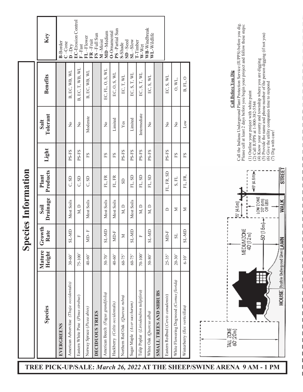|                                          |                        | $\overline{\mathbf{S}}$ | ecies Information |                   |       |                  |                           |                                                 |
|------------------------------------------|------------------------|-------------------------|-------------------|-------------------|-------|------------------|---------------------------|-------------------------------------------------|
| <b>Species</b>                           | Mature<br>Height       | Growth<br>Rate          | Drainage<br>Soil  | Products<br>Plant | Light | Tolerant<br>Salt | <b>Benefits</b>           | Key                                             |
| EVERGREENS                               |                        |                         |                   |                   |       |                  |                           | <b>B-Border</b>                                 |
| American Arborvitae (Thuja occidentalis) | $30 - 60$              | SL-MD                   | Most Soils        | C, SD             | PS-FS | $\overline{R}$   | B, EC, WB, WL             | $C$ -Cone<br>$D$ -Dry                           |
| Eastern White Pine (Pinus strobus)       | 75-100'                | 圧                       | M, D              | C, SD             | PS-FS | $\frac{1}{2}$    | B, EC, T, WB, WL          | <b>EC-Erosion Control</b><br>$\mathbb{F}$ –Fast |
| Norway Spruce (Picea abies)              | 40-60'                 | $MD-F$                  | Most Soils        | C, SD             | FS    | Moderate         | B, EC, WB, WL             | FL-Flower<br>$FR$ –Fruit                        |
| DECIDUOUS TREES                          |                        |                         |                   |                   |       |                  |                           | $FS$ -Full Sun                                  |
| American Beech (Fagus grandifolia)       | $50 - 70$              | SL-MD                   | Most Soils        | FL, FR            | FS    | $\frac{1}{2}$    | EC, FL, O, S, WL          | MD-Medium<br>M-Moist                            |
| Hackberry (Celtis occidentalis)          | 40-60'                 | MD-F                    | Most Soils        | FL, FR            | FS    | Limited          | EC, O, S, WL              | PS-Partial Sun<br>O-Ornamental                  |
| Northern Red Oak (Quercus rubra)         | 60-75'                 | $\geq$                  | M, D              | <b>GS</b>         | PS-FS | Yes              | EC, T, WL                 | $SD - Secd$<br>S-Shade                          |
| Sugar Maple (Acer saccharum)             | 60-75'                 | SL-MD                   | Most Soils        | FL, SD            | PS-FS | Limited          | EC, S, T, WL              | $SL-Slow$                                       |
| Tulip Poplar (Liriodendron tulipifera)   | 70-100'                | $\mathbf{L}$            | M, D              | FL, SD            | PS-FS | Intermediate     | EC, S, T, WL              | I-Timber<br>W-Wet                               |
| White Oak (Quercus alba)                 | $50 - 80$              | SL-MD                   | M, D              | FL, SD            | PS-FS | $\frac{1}{2}$    | EC, S, WL                 | WB-Windbreak<br>WL-Wildlife                     |
| <b>SMALL TREES AND SHRUBS</b>            |                        |                         |                   |                   |       |                  |                           |                                                 |
| Eastern Redbud (Cercis canadensis)       | $25 - 35$              | MD-F                    | ≏                 | FL, FR, SD        | PS-FS | $\tilde{z}$      | EC, S, WL                 |                                                 |
| White Flowering Dogwood (Cornus florida) | $20 - 30$ <sup>2</sup> | $_{\rm IS}$             | Σ                 | S, FL             | FS    | $\frac{1}{2}$    | $\mathrm{O},\mathrm{WL},$ |                                                 |
| Winterberry (Ilex verticillata)          | $6 - 10$ <sup>2</sup>  | SL-MD                   | Σ                 | FL, FR,           | FS    | Low              | B, FL, O                  |                                                 |
|                                          |                        |                         |                   |                   |       |                  |                           |                                                 |



### **Call Before You Dig Call Before You Dig**

Call the Indiana Underground Plant Protection Service (IUPPS) before you dig.<br>Please call at least 2 days before you begin your project and follow these steps: Call the Indiana Underground Plant Protection Service (IUPPS) before you dig. Please call at least 2 days before you begin your project and follow these steps:

(1) Outline your project with white paint

(2) Call IUPPS at 1-800-382-5544

(4) Know your county and township where you are digging

(1) Outline your project with white paint<br>(2) Call IUPPS at 1-800-382-5544<br>(4) Know your county and township where you are digging<br>(5) Provide the name and phone number of the person digging (if not you)<br>(6) Give the util (5) Provide the name and phone number of the person digging (if not you) (6) Give the utility companies time to respond

(7) Dig with care!

**TREE PICK-UP/SALE:** *March 26, 2022* **AT THE SHEEP/SWINE ARENA 9 AM - 1 PM**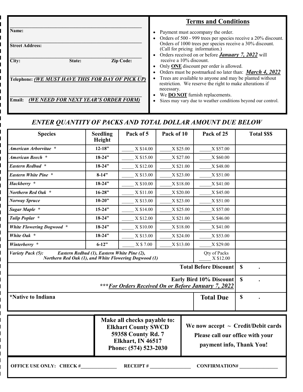|                                                   | <b>Terms and Conditions</b>                                                                                                                                                                         |
|---------------------------------------------------|-----------------------------------------------------------------------------------------------------------------------------------------------------------------------------------------------------|
| Name:<br><b>Street Address:</b>                   | Payment must accompany the order.<br>Orders of 500 - 999 trees per species receive a 20% discount.<br>Orders of 1000 trees per species receive a 30% discount.<br>(Call for pricing information.)   |
| City:<br><b>Zip Code:</b><br>State:               | Orders received on or before <b>January</b> 7, 2022 will<br>receive a 10% discount.<br>Only ONE discount per order is allowed.                                                                      |
| Telephone: (WE MUST HAVE THIS FOR DAY OF PICK UP) | Orders must be postmarked no later than: <b>March 4, 2022</b><br>Trees are available to anyone and may be planted without<br>restriction. We reserve the right to make alterations if<br>necessary. |
| (WE NEED FOR NEXT YEAR'S ORDER FORM)<br>Email:    | We <b>DO NOT</b> furnish replacements.<br>Sizes may vary due to weather conditions beyond our control.<br>$\bullet$                                                                                 |

### ENTER QUANTITY OF PACKS AND TOTAL DOLLAR AMOUNT DUE BELOW

| <b>Species</b>                                                                         | <b>Seedling</b><br>Height                                                                                                                                                                                                                | Pack of 5                               | Pack of 10 |  | Pack of 25                   |             | <b>Total SSS</b> |
|----------------------------------------------------------------------------------------|------------------------------------------------------------------------------------------------------------------------------------------------------------------------------------------------------------------------------------------|-----------------------------------------|------------|--|------------------------------|-------------|------------------|
| American Arborvitae *                                                                  | $12 - 18"$                                                                                                                                                                                                                               | X \$14.00                               | X \$25.00  |  | X \$57.00                    |             |                  |
| American Beech *                                                                       | $18 - 24$ "                                                                                                                                                                                                                              | X \$15.00                               | X \$27.00  |  | X \$60.00                    |             |                  |
| <b>Eastern Redbud *</b>                                                                | $18 - 24$ "                                                                                                                                                                                                                              | X \$12.00                               | X \$21.00  |  | X \$48.00                    |             |                  |
| <b>Eastern White Pine *</b>                                                            | $8-14"$                                                                                                                                                                                                                                  | X \$13.00                               | X \$23.00  |  | X \$51.00                    |             |                  |
| Hackberry *                                                                            | $18 - 24$ "                                                                                                                                                                                                                              | X \$10.00                               | X \$18.00  |  | X \$41.00                    |             |                  |
| Northern Red Oak *                                                                     | $16 - 28$ "                                                                                                                                                                                                                              | X \$11.00                               | X \$20.00  |  | X \$45.00                    |             |                  |
| <b>Norway Spruce</b>                                                                   | $10 - 20$ "                                                                                                                                                                                                                              | X \$13.00                               | X \$23.00  |  | X \$51.00                    |             |                  |
| Sugar Maple *                                                                          | $15 - 24$ "                                                                                                                                                                                                                              | X \$14.00                               | X \$25.00  |  | X \$57.00                    |             |                  |
| Tulip Poplar *                                                                         | $18 - 24$ "                                                                                                                                                                                                                              | X \$12.00                               | X \$21.00  |  | X \$46.00                    |             |                  |
| <b>White Flowering Dogwood *</b>                                                       | $18 - 24$ "                                                                                                                                                                                                                              | X \$10.00                               | X \$18.00  |  | X \$41.00                    |             |                  |
| White Oak *                                                                            | $18 - 24$ "                                                                                                                                                                                                                              | X \$13.00                               | X \$24.00  |  | X \$53.00                    |             |                  |
| Winterberry *                                                                          | $6 - 12$ "                                                                                                                                                                                                                               | X \$7.00                                | X \$13.00  |  | X \$29.00                    |             |                  |
| Variety Pack (5):<br>Northern Red Oak (1), and White Flowering Dogwood (1)             | Eastern Redbud (1), Eastern White Pine (2),                                                                                                                                                                                              |                                         |            |  | Qty of Packs<br>X \$12.00    |             |                  |
|                                                                                        |                                                                                                                                                                                                                                          |                                         |            |  | <b>Total Before Discount</b> | $\mathbf S$ |                  |
| <b>Early Bird 10% Discount</b><br>*** For Orders Received On or Before January 7, 2022 |                                                                                                                                                                                                                                          |                                         |            |  | \$                           |             |                  |
| <i><b>*Native to Indiana</b></i>                                                       |                                                                                                                                                                                                                                          |                                         |            |  | <b>Total Due</b>             | \$          |                  |
|                                                                                        | Make all checks payable to:<br>We now accept $\sim$ Credit/Debit cards<br><b>Elkhart County SWCD</b><br>59358 County Rd. 7<br>Please call our office with your<br>Elkhart, IN 46517<br>payment info, Thank You!<br>Phone: (574) 523-2030 |                                         |            |  |                              |             |                  |
| <b>OFFICE USE ONLY: CHECK #</b>                                                        |                                                                                                                                                                                                                                          | <b>RECEIPT#</b><br><b>CONFIRMATION#</b> |            |  |                              |             |                  |